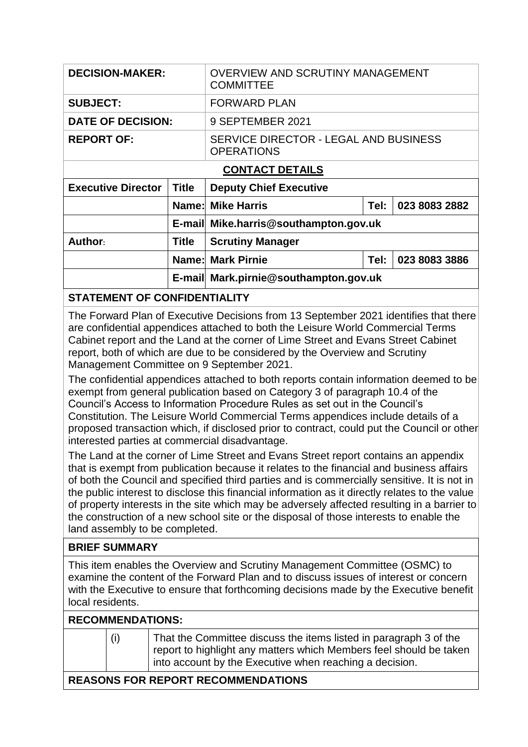| <b>DECISION-MAKER:</b>    |              | <b>OVERVIEW AND SCRUTINY MANAGEMENT</b><br><b>COMMITTEE</b> |      |               |  |
|---------------------------|--------------|-------------------------------------------------------------|------|---------------|--|
| <b>SUBJECT:</b>           |              | <b>FORWARD PLAN</b>                                         |      |               |  |
| <b>DATE OF DECISION:</b>  |              | 9 SEPTEMBER 2021                                            |      |               |  |
| <b>REPORT OF:</b>         |              | SERVICE DIRECTOR - LEGAL AND BUSINESS<br><b>OPERATIONS</b>  |      |               |  |
| <b>CONTACT DETAILS</b>    |              |                                                             |      |               |  |
| <b>Executive Director</b> | <b>Title</b> | <b>Deputy Chief Executive</b>                               |      |               |  |
|                           |              | <b>Name: Mike Harris</b>                                    | Tel: | 023 8083 2882 |  |
|                           |              | E-mail Mike.harris@southampton.gov.uk                       |      |               |  |
| Author:                   | Title        | <b>Scrutiny Manager</b>                                     |      |               |  |
|                           |              | <b>Name: Mark Pirnie</b>                                    | Tel: | 023 8083 3886 |  |
|                           |              | E-mail Mark.pirnie@southampton.gov.uk                       |      |               |  |

## **STATEMENT OF CONFIDENTIALITY**

The Forward Plan of Executive Decisions from 13 September 2021 identifies that there are confidential appendices attached to both the Leisure World Commercial Terms Cabinet report and the Land at the corner of Lime Street and Evans Street Cabinet report, both of which are due to be considered by the Overview and Scrutiny Management Committee on 9 September 2021.

The confidential appendices attached to both reports contain information deemed to be exempt from general publication based on Category 3 of paragraph 10.4 of the Council's Access to Information Procedure Rules as set out in the Council's Constitution. The Leisure World Commercial Terms appendices include details of a proposed transaction which, if disclosed prior to contract, could put the Council or other interested parties at commercial disadvantage.

The Land at the corner of Lime Street and Evans Street report contains an appendix that is exempt from publication because it relates to the financial and business affairs of both the Council and specified third parties and is commercially sensitive. It is not in the public interest to disclose this financial information as it directly relates to the value of property interests in the site which may be adversely affected resulting in a barrier to the construction of a new school site or the disposal of those interests to enable the land assembly to be completed.

## **BRIEF SUMMARY**

This item enables the Overview and Scrutiny Management Committee (OSMC) to examine the content of the Forward Plan and to discuss issues of interest or concern with the Executive to ensure that forthcoming decisions made by the Executive benefit local residents.

| <b>RECOMMENDATIONS:</b> |  |
|-------------------------|--|
|                         |  |

| 1 | ı | 1 |  |
|---|---|---|--|
|   |   |   |  |
|   |   |   |  |

That the Committee discuss the items listed in paragraph 3 of the report to highlight any matters which Members feel should be taken into account by the Executive when reaching a decision.

## **REASONS FOR REPORT RECOMMENDATIONS**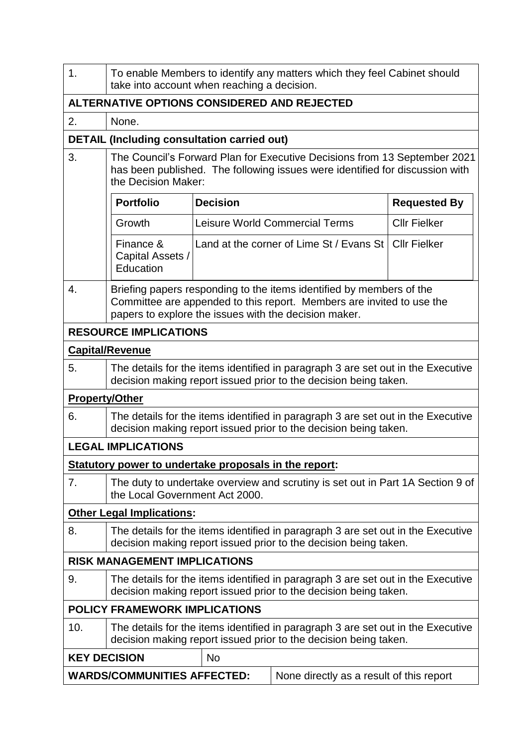| 1.                                                                                                                                                          | To enable Members to identify any matters which they feel Cabinet should<br>take into account when reaching a decision.                                                                                |                 |                                          |                     |  |
|-------------------------------------------------------------------------------------------------------------------------------------------------------------|--------------------------------------------------------------------------------------------------------------------------------------------------------------------------------------------------------|-----------------|------------------------------------------|---------------------|--|
| ALTERNATIVE OPTIONS CONSIDERED AND REJECTED                                                                                                                 |                                                                                                                                                                                                        |                 |                                          |                     |  |
| 2.                                                                                                                                                          | None.                                                                                                                                                                                                  |                 |                                          |                     |  |
|                                                                                                                                                             | <b>DETAIL (Including consultation carried out)</b>                                                                                                                                                     |                 |                                          |                     |  |
| 3.                                                                                                                                                          | The Council's Forward Plan for Executive Decisions from 13 September 2021<br>has been published. The following issues were identified for discussion with<br>the Decision Maker:                       |                 |                                          |                     |  |
|                                                                                                                                                             | <b>Portfolio</b>                                                                                                                                                                                       | <b>Decision</b> |                                          | <b>Requested By</b> |  |
|                                                                                                                                                             | Growth                                                                                                                                                                                                 |                 | <b>Leisure World Commercial Terms</b>    | <b>Cllr Fielker</b> |  |
|                                                                                                                                                             | Finance &<br>Capital Assets /<br>Education                                                                                                                                                             |                 | Land at the corner of Lime St / Evans St | <b>Cllr Fielker</b> |  |
| 4.                                                                                                                                                          | Briefing papers responding to the items identified by members of the<br>Committee are appended to this report. Members are invited to use the<br>papers to explore the issues with the decision maker. |                 |                                          |                     |  |
|                                                                                                                                                             | <b>RESOURCE IMPLICATIONS</b>                                                                                                                                                                           |                 |                                          |                     |  |
|                                                                                                                                                             | <b>Capital/Revenue</b>                                                                                                                                                                                 |                 |                                          |                     |  |
| 5.                                                                                                                                                          | The details for the items identified in paragraph 3 are set out in the Executive<br>decision making report issued prior to the decision being taken.                                                   |                 |                                          |                     |  |
| <b>Property/Other</b>                                                                                                                                       |                                                                                                                                                                                                        |                 |                                          |                     |  |
| 6.                                                                                                                                                          | The details for the items identified in paragraph 3 are set out in the Executive<br>decision making report issued prior to the decision being taken.                                                   |                 |                                          |                     |  |
|                                                                                                                                                             | <b>LEGAL IMPLICATIONS</b>                                                                                                                                                                              |                 |                                          |                     |  |
|                                                                                                                                                             | Statutory power to undertake proposals in the report:                                                                                                                                                  |                 |                                          |                     |  |
| 7.                                                                                                                                                          | The duty to undertake overview and scrutiny is set out in Part 1A Section 9 of<br>the Local Government Act 2000.                                                                                       |                 |                                          |                     |  |
|                                                                                                                                                             | <b>Other Legal Implications:</b>                                                                                                                                                                       |                 |                                          |                     |  |
| 8.                                                                                                                                                          | The details for the items identified in paragraph 3 are set out in the Executive<br>decision making report issued prior to the decision being taken.                                                   |                 |                                          |                     |  |
| <b>RISK MANAGEMENT IMPLICATIONS</b>                                                                                                                         |                                                                                                                                                                                                        |                 |                                          |                     |  |
| The details for the items identified in paragraph 3 are set out in the Executive<br>9.<br>decision making report issued prior to the decision being taken.  |                                                                                                                                                                                                        |                 |                                          |                     |  |
|                                                                                                                                                             | <b>POLICY FRAMEWORK IMPLICATIONS</b>                                                                                                                                                                   |                 |                                          |                     |  |
| 10.<br>The details for the items identified in paragraph 3 are set out in the Executive<br>decision making report issued prior to the decision being taken. |                                                                                                                                                                                                        |                 |                                          |                     |  |
| <b>KEY DECISION</b><br><b>No</b>                                                                                                                            |                                                                                                                                                                                                        |                 |                                          |                     |  |
| <b>WARDS/COMMUNITIES AFFECTED:</b><br>None directly as a result of this report                                                                              |                                                                                                                                                                                                        |                 |                                          |                     |  |